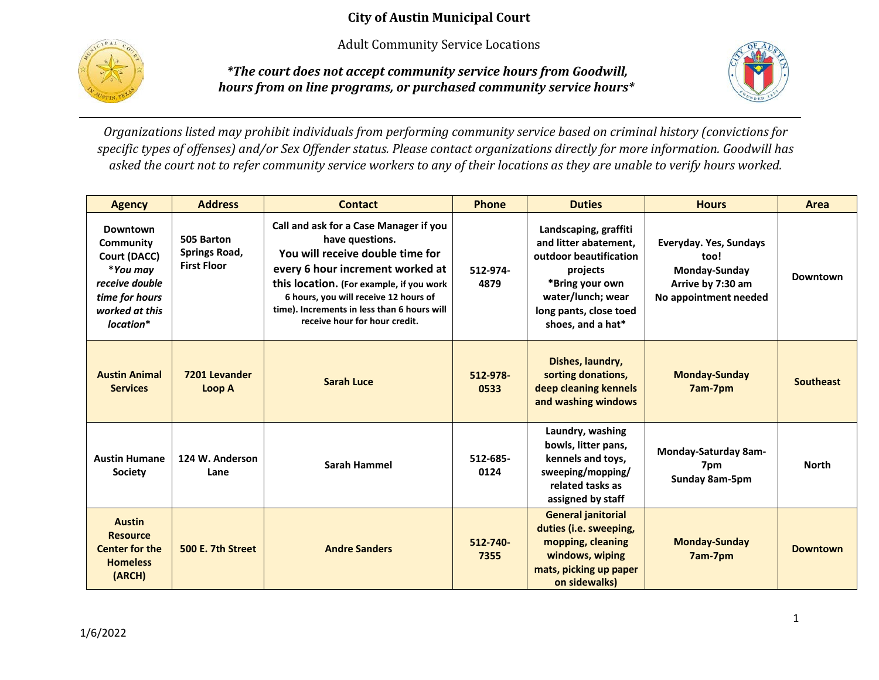Adult Community Service Locations



*\*The court does not accept community service hours from Goodwill, hours from on line programs, or purchased community service hours\**



*Organizations listed may prohibit individuals from performing community service based on criminal history (convictions for specific types of offenses) and/or Sex Offender status. Please contact organizations directly for more information. Goodwill has asked the court not to refer community service workers to any of their locations as they are unable to verify hours worked.*

| <b>Agency</b>                                                                                                        | <b>Address</b>                                           | <b>Contact</b>                                                                                                                                                                                                                                                                                         | Phone            | <b>Duties</b>                                                                                                                                                               | <b>Hours</b>                                                                                  | Area             |
|----------------------------------------------------------------------------------------------------------------------|----------------------------------------------------------|--------------------------------------------------------------------------------------------------------------------------------------------------------------------------------------------------------------------------------------------------------------------------------------------------------|------------------|-----------------------------------------------------------------------------------------------------------------------------------------------------------------------------|-----------------------------------------------------------------------------------------------|------------------|
| Downtown<br>Community<br>Court (DACC)<br>*You may<br>receive double<br>time for hours<br>worked at this<br>location* | 505 Barton<br><b>Springs Road,</b><br><b>First Floor</b> | Call and ask for a Case Manager if you<br>have questions.<br>You will receive double time for<br>every 6 hour increment worked at<br>this location. (For example, if you work<br>6 hours, you will receive 12 hours of<br>time). Increments in less than 6 hours will<br>receive hour for hour credit. | 512-974-<br>4879 | Landscaping, graffiti<br>and litter abatement.<br>outdoor beautification<br>projects<br>*Bring your own<br>water/lunch; wear<br>long pants, close toed<br>shoes, and a hat* | Everyday. Yes, Sundays<br>too!<br>Monday-Sunday<br>Arrive by 7:30 am<br>No appointment needed | Downtown         |
| <b>Austin Animal</b><br><b>Services</b>                                                                              | 7201 Levander<br>Loop A                                  | <b>Sarah Luce</b>                                                                                                                                                                                                                                                                                      | 512-978-<br>0533 | Dishes, laundry,<br>sorting donations,<br>deep cleaning kennels<br>and washing windows                                                                                      | <b>Monday-Sunday</b><br>7am-7pm                                                               | <b>Southeast</b> |
| <b>Austin Humane</b><br>Society                                                                                      | 124 W. Anderson<br>Lane                                  | Sarah Hammel                                                                                                                                                                                                                                                                                           | 512-685-<br>0124 | Laundry, washing<br>bowls, litter pans,<br>kennels and toys,<br>sweeping/mopping/<br>related tasks as<br>assigned by staff                                                  | Monday-Saturday 8am-<br>7pm<br>Sunday 8am-5pm                                                 | <b>North</b>     |
| <b>Austin</b><br><b>Resource</b><br><b>Center for the</b><br><b>Homeless</b><br>(ARCH)                               | 500 E. 7th Street<br><b>Andre Sanders</b>                |                                                                                                                                                                                                                                                                                                        | 512-740-<br>7355 | <b>General janitorial</b><br>duties (i.e. sweeping,<br>mopping, cleaning<br>windows, wiping<br>mats, picking up paper<br>on sidewalks)                                      | <b>Monday-Sunday</b><br>7am-7pm                                                               | <b>Downtown</b>  |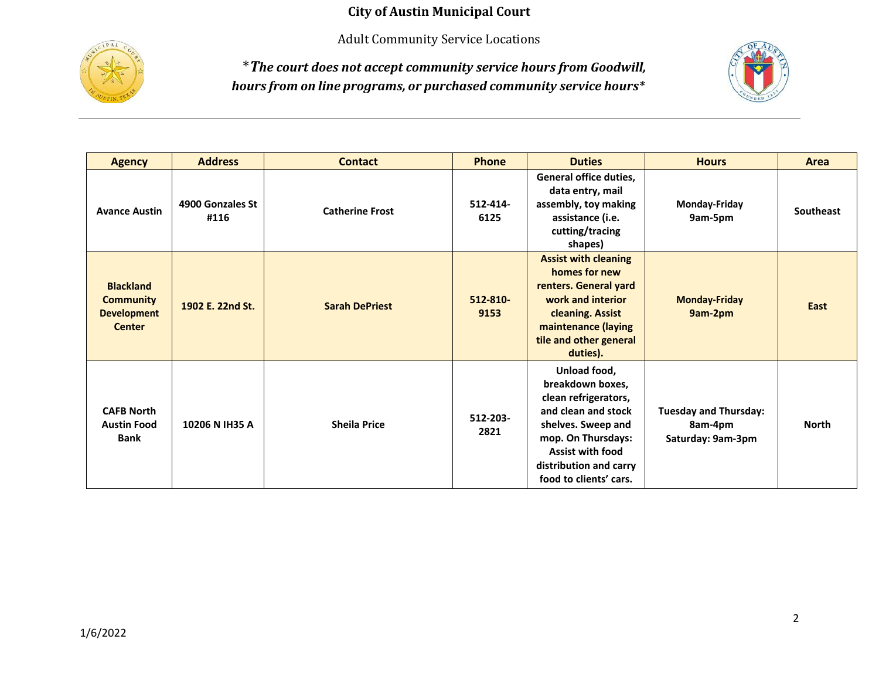Adult Community Service Locations



\**The court does not accept community service hours from Goodwill, hours from on line programs, or purchased community service hours\**



| <b>Agency</b>                                                               | <b>Address</b>           | <b>Contact</b>         | <b>Phone</b>     | <b>Duties</b>                                                                                                                                                                                              | <b>Hours</b>                                                 | Area             |
|-----------------------------------------------------------------------------|--------------------------|------------------------|------------------|------------------------------------------------------------------------------------------------------------------------------------------------------------------------------------------------------------|--------------------------------------------------------------|------------------|
| <b>Avance Austin</b>                                                        | 4900 Gonzales St<br>#116 | <b>Catherine Frost</b> | 512-414-<br>6125 | General office duties,<br>data entry, mail<br>assembly, toy making<br>assistance (i.e.<br>cutting/tracing<br>shapes)                                                                                       | <b>Monday-Friday</b><br>9am-5pm                              | <b>Southeast</b> |
| <b>Blackland</b><br><b>Community</b><br><b>Development</b><br><b>Center</b> | 1902 E. 22nd St.         | <b>Sarah DePriest</b>  | 512-810-<br>9153 | <b>Assist with cleaning</b><br>homes for new<br>renters. General yard<br>work and interior<br>cleaning. Assist<br>maintenance (laying<br>tile and other general<br>duties).                                | <b>Monday-Friday</b><br>9am-2pm                              | East             |
| <b>CAFB North</b><br><b>Austin Food</b><br><b>Bank</b>                      | 10206 N IH35 A           | <b>Sheila Price</b>    | 512-203-<br>2821 | Unload food,<br>breakdown boxes,<br>clean refrigerators,<br>and clean and stock<br>shelves. Sweep and<br>mop. On Thursdays:<br><b>Assist with food</b><br>distribution and carry<br>food to clients' cars. | <b>Tuesday and Thursday:</b><br>8am-4pm<br>Saturday: 9am-3pm | <b>North</b>     |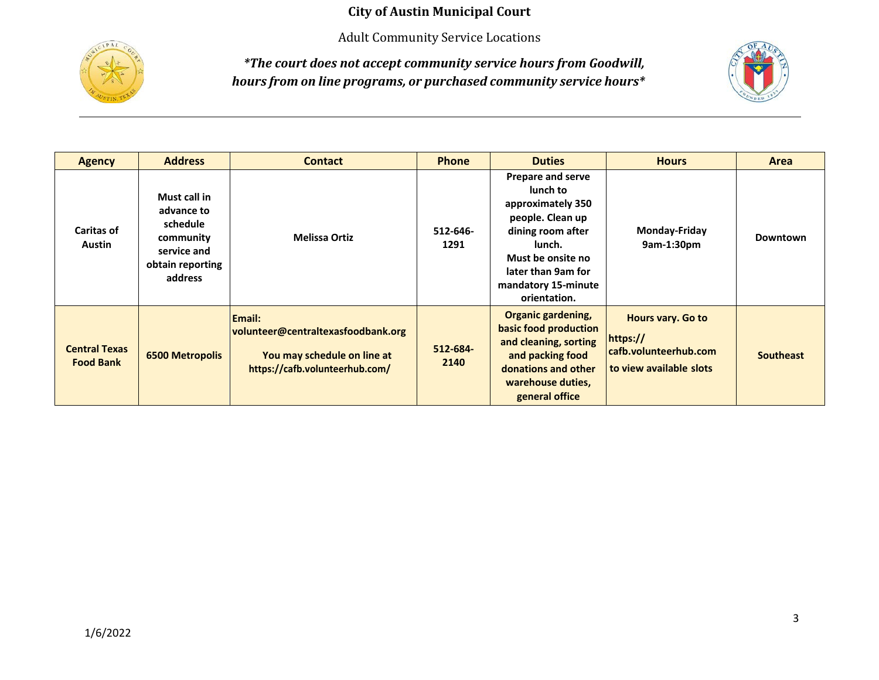Adult Community Service Locations



*\*The court does not accept community service hours from Goodwill, hours from on line programs, or purchased community service hours\**



| <b>Agency</b>                            | <b>Address</b>                                                                                    | <b>Contact</b>                                                                                                       | <b>Phone</b>     | <b>Duties</b>                                                                                                                                                                                  | <b>Hours</b>                                                                      | Area             |
|------------------------------------------|---------------------------------------------------------------------------------------------------|----------------------------------------------------------------------------------------------------------------------|------------------|------------------------------------------------------------------------------------------------------------------------------------------------------------------------------------------------|-----------------------------------------------------------------------------------|------------------|
| <b>Caritas of</b><br><b>Austin</b>       | Must call in<br>advance to<br>schedule<br>community<br>service and<br>obtain reporting<br>address | <b>Melissa Ortiz</b>                                                                                                 | 512-646-<br>1291 | <b>Prepare and serve</b><br>lunch to<br>approximately 350<br>people. Clean up<br>dining room after<br>lunch.<br>Must be onsite no<br>later than 9am for<br>mandatory 15-minute<br>orientation. | Monday-Friday<br>9am-1:30pm                                                       | Downtown         |
| <b>Central Texas</b><br><b>Food Bank</b> | <b>6500 Metropolis</b>                                                                            | <b>Email:</b><br>volunteer@centraltexasfoodbank.org<br>You may schedule on line at<br>https://cafb.volunteerhub.com/ | 512-684-<br>2140 | <b>Organic gardening,</b><br>basic food production<br>and cleaning, sorting<br>and packing food<br>donations and other<br>warehouse duties,<br>general office                                  | Hours vary. Go to<br>https://<br>cafb.volunteerhub.com<br>to view available slots | <b>Southeast</b> |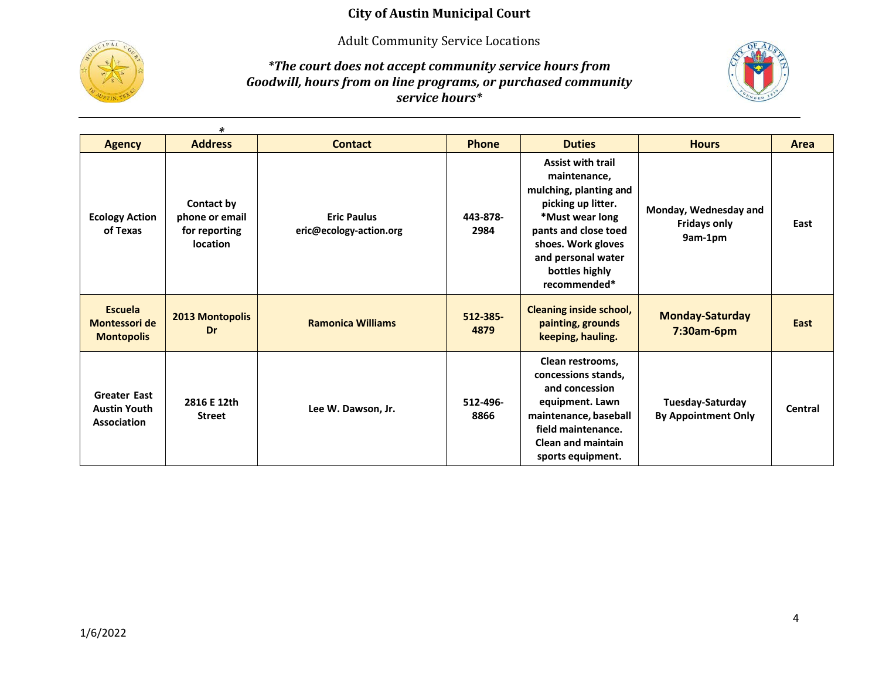Adult Community Service Locations



*\*The court does not accept community service hours from Goodwill, hours from on line programs, or purchased community service hours\**



|                                                                                                  | $\ast$                                                           |                                               |                  |                                                                                                                                                                                                                   |                                                         |         |
|--------------------------------------------------------------------------------------------------|------------------------------------------------------------------|-----------------------------------------------|------------------|-------------------------------------------------------------------------------------------------------------------------------------------------------------------------------------------------------------------|---------------------------------------------------------|---------|
| <b>Agency</b>                                                                                    | <b>Address</b>                                                   | <b>Contact</b>                                | <b>Phone</b>     | <b>Duties</b>                                                                                                                                                                                                     | <b>Hours</b>                                            | Area    |
| <b>Ecology Action</b><br>of Texas                                                                | Contact by<br>phone or email<br>for reporting<br><b>location</b> | <b>Eric Paulus</b><br>eric@ecology-action.org | 443-878-<br>2984 | <b>Assist with trail</b><br>maintenance,<br>mulching, planting and<br>picking up litter.<br>*Must wear long<br>pants and close toed<br>shoes. Work gloves<br>and personal water<br>bottles highly<br>recommended* | Monday, Wednesday and<br><b>Fridays only</b><br>9am-1pm | East    |
| <b>Escuela</b><br><b>Montessori de</b><br><b>Montopolis</b>                                      | 2013 Montopolis<br>Dr                                            | <b>Ramonica Williams</b>                      | 512-385-<br>4879 | <b>Cleaning inside school,</b><br>painting, grounds<br>keeping, hauling.                                                                                                                                          | <b>Monday-Saturday</b><br>7:30am-6pm                    | East    |
| <b>Greater East</b><br>2816 E 12th<br><b>Austin Youth</b><br><b>Street</b><br><b>Association</b> |                                                                  | Lee W. Dawson, Jr.                            | 512-496-<br>8866 | Clean restrooms,<br>concessions stands,<br>and concession<br>equipment. Lawn<br>maintenance, baseball<br>field maintenance.<br><b>Clean and maintain</b><br>sports equipment.                                     | Tuesday-Saturday<br><b>By Appointment Only</b>          | Central |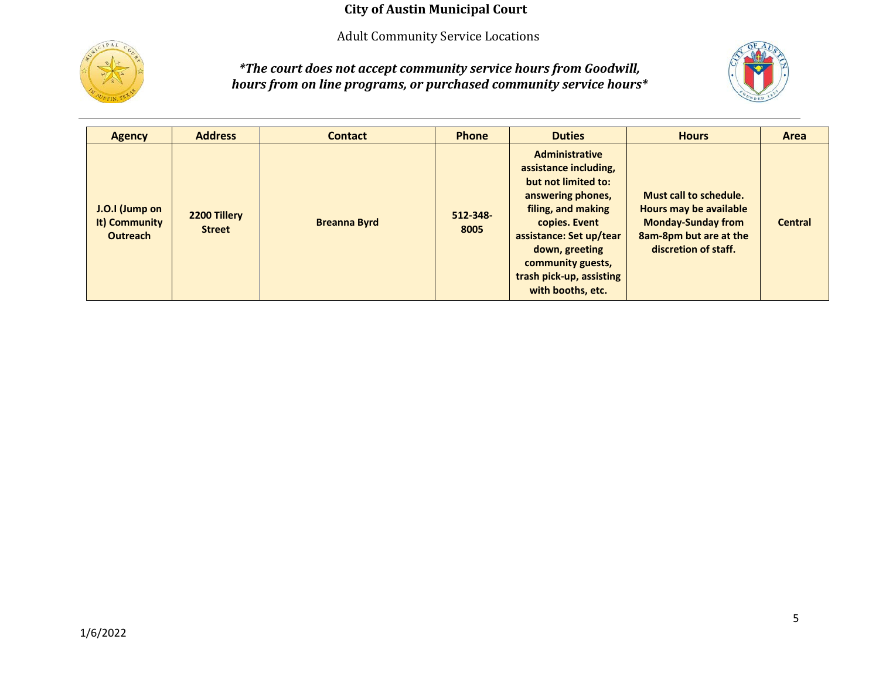Adult Community Service Locations



*\*The court does not accept community service hours from Goodwill, hours from on line programs, or purchased community service hours\**



| <b>Agency</b>                                      | <b>Address</b>                | <b>Contact</b>      | <b>Phone</b>          | <b>Duties</b>                                                                                                                                                                                                                                        | <b>Hours</b>                                                                                                                    | Area           |
|----------------------------------------------------|-------------------------------|---------------------|-----------------------|------------------------------------------------------------------------------------------------------------------------------------------------------------------------------------------------------------------------------------------------------|---------------------------------------------------------------------------------------------------------------------------------|----------------|
| J.O.I (Jump on<br>It) Community<br><b>Outreach</b> | 2200 Tillery<br><b>Street</b> | <b>Breanna Byrd</b> | $512 - 348 -$<br>8005 | <b>Administrative</b><br>assistance including,<br>but not limited to:<br>answering phones,<br>filing, and making<br>copies. Event<br>assistance: Set up/tear<br>down, greeting<br>community guests,<br>trash pick-up, assisting<br>with booths, etc. | Must call to schedule.<br>Hours may be available<br><b>Monday-Sunday from</b><br>8am-8pm but are at the<br>discretion of staff. | <b>Central</b> |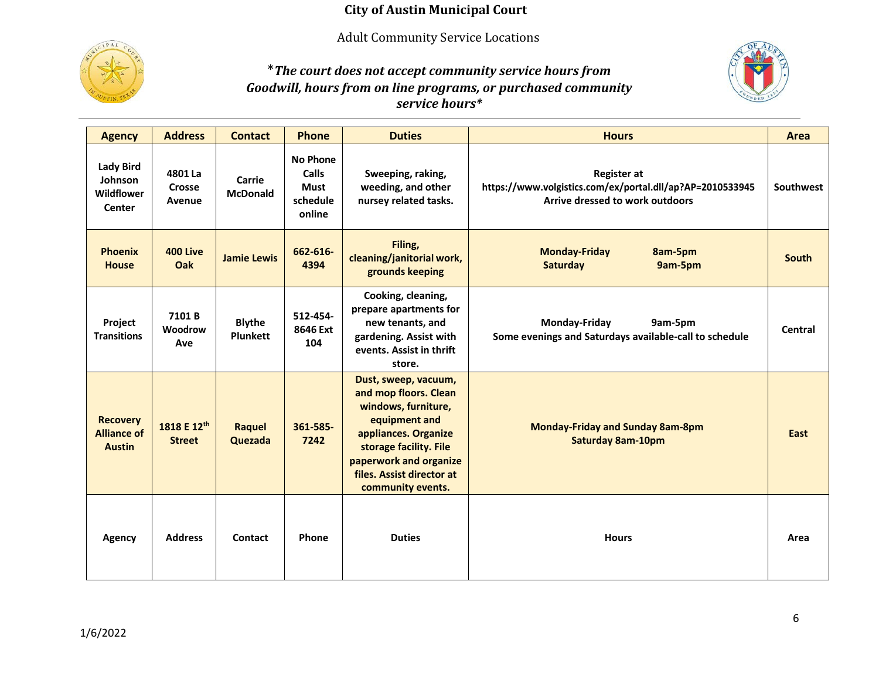Adult Community Service Locations



# \**The court does not accept community service hours from Goodwill, hours from on line programs, or purchased community service hours\**



| <b>Agency</b>                                          | <b>Address</b>               | <b>Contact</b>                   | <b>Phone</b>                                                         | <b>Duties</b>                                                                                                                                                                                                       | <b>Hours</b>                                                                                                       | Area         |
|--------------------------------------------------------|------------------------------|----------------------------------|----------------------------------------------------------------------|---------------------------------------------------------------------------------------------------------------------------------------------------------------------------------------------------------------------|--------------------------------------------------------------------------------------------------------------------|--------------|
| <b>Lady Bird</b><br>Johnson<br>Wildflower<br>Center    | 4801 La<br>Crosse<br>Avenue  | Carrie<br><b>McDonald</b>        | <b>No Phone</b><br><b>Calls</b><br><b>Must</b><br>schedule<br>online | Sweeping, raking,<br>weeding, and other<br>nursey related tasks.                                                                                                                                                    | <b>Register at</b><br>https://www.volgistics.com/ex/portal.dll/ap?AP=2010533945<br>Arrive dressed to work outdoors | Southwest    |
| <b>Phoenix</b><br><b>House</b>                         | <b>400 Live</b><br>Oak       | <b>Jamie Lewis</b>               | 662-616-<br>4394                                                     | Filing,<br>cleaning/janitorial work,<br>grounds keeping                                                                                                                                                             | <b>Monday-Friday</b><br>8am-5pm<br>Saturday<br>9am-5pm                                                             | <b>South</b> |
| Project<br><b>Transitions</b>                          | 7101B<br>Woodrow<br>Ave      | <b>Blythe</b><br><b>Plunkett</b> | 512-454-<br>8646 Ext<br>104                                          | Cooking, cleaning,<br>prepare apartments for<br>new tenants, and<br>gardening. Assist with<br>events. Assist in thrift<br>store.                                                                                    | Monday-Friday<br>9am-5pm<br>Some evenings and Saturdays available-call to schedule                                 | Central      |
| <b>Recovery</b><br><b>Alliance of</b><br><b>Austin</b> | 1818 E 12th<br><b>Street</b> | Raquel<br>Quezada                | 361-585-<br>7242                                                     | Dust, sweep, vacuum,<br>and mop floors. Clean<br>windows, furniture,<br>equipment and<br>appliances. Organize<br>storage facility. File<br>paperwork and organize<br>files. Assist director at<br>community events. | <b>Monday-Friday and Sunday 8am-8pm</b><br><b>Saturday 8am-10pm</b>                                                | East         |
| <b>Agency</b>                                          | <b>Address</b>               | Contact                          | Phone                                                                | <b>Duties</b>                                                                                                                                                                                                       | <b>Hours</b>                                                                                                       | Area         |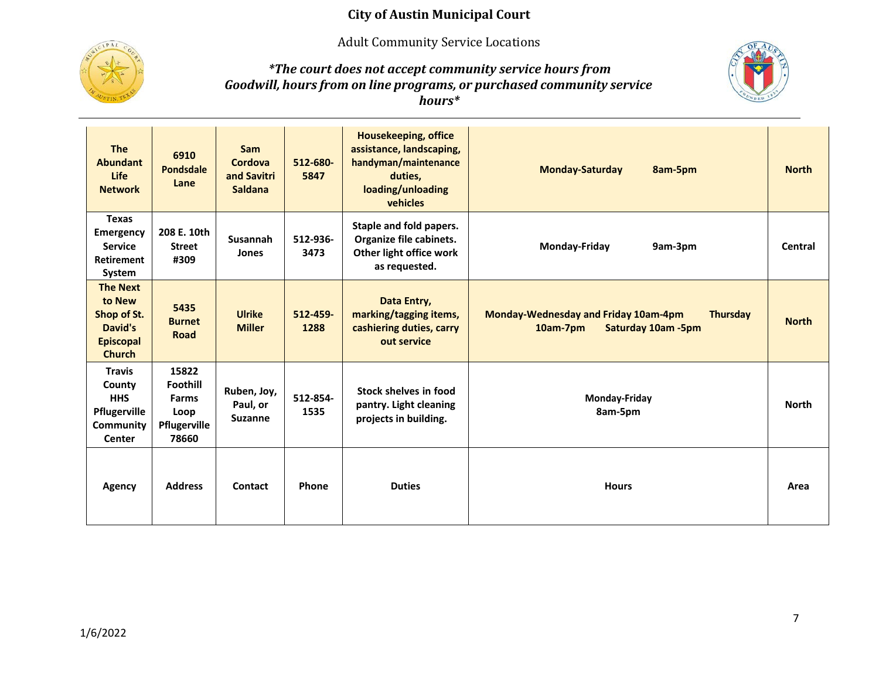Adult Community Service Locations



#### *\*The court does not accept community service hours from Goodwill, hours from on line programs, or purchased community service hours\**



| <b>The</b><br><b>Abundant</b><br><b>Life</b><br><b>Network</b>                           | 6910<br>Pondsdale<br>Lane                                                 | <b>Sam</b><br>Cordova<br>and Savitri<br><b>Saldana</b> | 512-680-<br>5847 | <b>Housekeeping, office</b><br>assistance, landscaping,<br>handyman/maintenance<br>duties,<br>loading/unloading<br>vehicles | <b>Monday-Saturday</b><br>8am-5pm                                                                 | <b>North</b> |
|------------------------------------------------------------------------------------------|---------------------------------------------------------------------------|--------------------------------------------------------|------------------|-----------------------------------------------------------------------------------------------------------------------------|---------------------------------------------------------------------------------------------------|--------------|
| <b>Texas</b><br><b>Emergency</b><br><b>Service</b><br><b>Retirement</b><br>System        | 208 E. 10th<br><b>Street</b><br>#309                                      | Susannah<br>Jones                                      | 512-936-<br>3473 | Staple and fold papers.<br>Organize file cabinets.<br>Other light office work<br>as requested.                              | <b>Monday-Friday</b><br>9am-3pm                                                                   | Central      |
| <b>The Next</b><br>to New<br>Shop of St.<br>David's<br><b>Episcopal</b><br><b>Church</b> | 5435<br><b>Burnet</b><br><b>Road</b>                                      | <b>Ulrike</b><br><b>Miller</b>                         | 512-459-<br>1288 | Data Entry,<br>marking/tagging items,<br>cashiering duties, carry<br>out service                                            | <b>Monday-Wednesday and Friday 10am-4pm</b><br><b>Thursday</b><br>10am-7pm<br>Saturday 10am - 5pm | <b>North</b> |
| <b>Travis</b><br>County<br><b>HHS</b><br>Pflugerville<br>Community<br>Center             | 15822<br><b>Foothill</b><br><b>Farms</b><br>Loop<br>Pflugerville<br>78660 | Ruben, Joy,<br>Paul, or<br><b>Suzanne</b>              | 512-854-<br>1535 | Stock shelves in food<br>pantry. Light cleaning<br>projects in building.                                                    | Monday-Friday<br>8am-5pm                                                                          | <b>North</b> |
| Agency                                                                                   | <b>Address</b>                                                            | Contact                                                | Phone            | <b>Duties</b>                                                                                                               | <b>Hours</b>                                                                                      | Area         |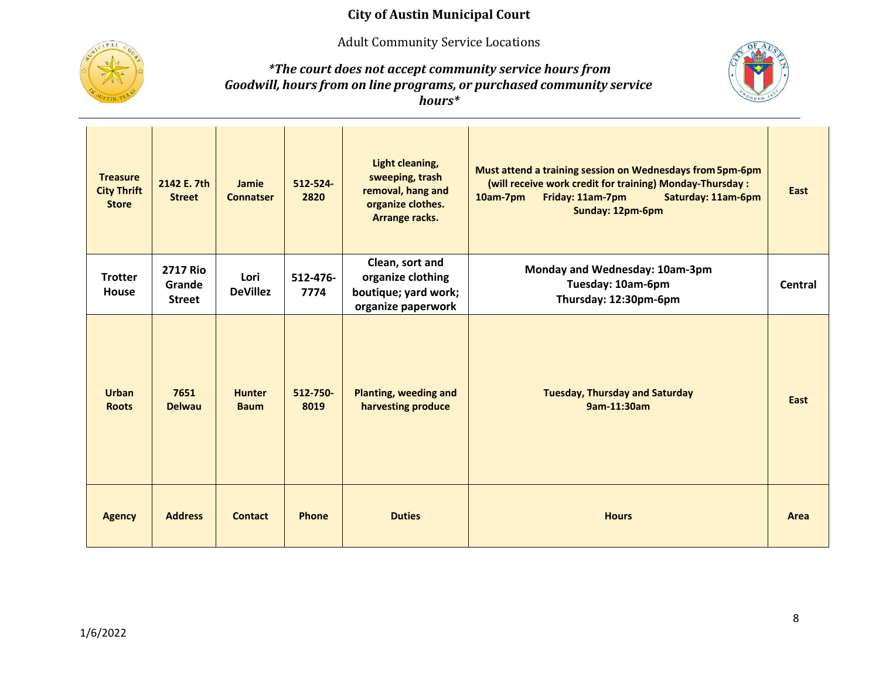Adult Community Service Locations



*\*The court does not accept community service hours from Goodwill, hours from on line programs, or purchased community service hours\**



| <b>Treasure</b><br><b>City Thrift</b><br><b>Store</b> | 2142 E. 7th<br><b>Street</b>               | Jamie<br><b>Connatser</b>    | 512-524-<br>2820 | Light cleaning,<br>sweeping, trash<br>removal, hang and<br>organize clothes.<br>Arrange racks. | Must attend a training session on Wednesdays from 5pm-6pm<br>(will receive work credit for training) Monday-Thursday :<br>Saturday: 11am-6pm<br>10am-7pm<br>Friday: 11am-7pm<br>Sunday: 12pm-6pm | East    |
|-------------------------------------------------------|--------------------------------------------|------------------------------|------------------|------------------------------------------------------------------------------------------------|--------------------------------------------------------------------------------------------------------------------------------------------------------------------------------------------------|---------|
| <b>Trotter</b><br>House                               | <b>2717 Rio</b><br>Grande<br><b>Street</b> | Lori<br><b>DeVillez</b>      | 512-476-<br>7774 | Clean, sort and<br>organize clothing<br>boutique; yard work;<br>organize paperwork             | Monday and Wednesday: 10am-3pm<br>Tuesday: 10am-6pm<br>Thursday: 12:30pm-6pm                                                                                                                     | Central |
| <b>Urban</b><br><b>Roots</b>                          | 7651<br><b>Delwau</b>                      | <b>Hunter</b><br><b>Baum</b> | 512-750-<br>8019 | <b>Planting, weeding and</b><br>harvesting produce                                             | <b>Tuesday, Thursday and Saturday</b><br>9am-11:30am                                                                                                                                             | East    |
| <b>Agency</b>                                         | <b>Address</b>                             | <b>Contact</b>               | <b>Phone</b>     | <b>Duties</b>                                                                                  | <b>Hours</b>                                                                                                                                                                                     | Area    |